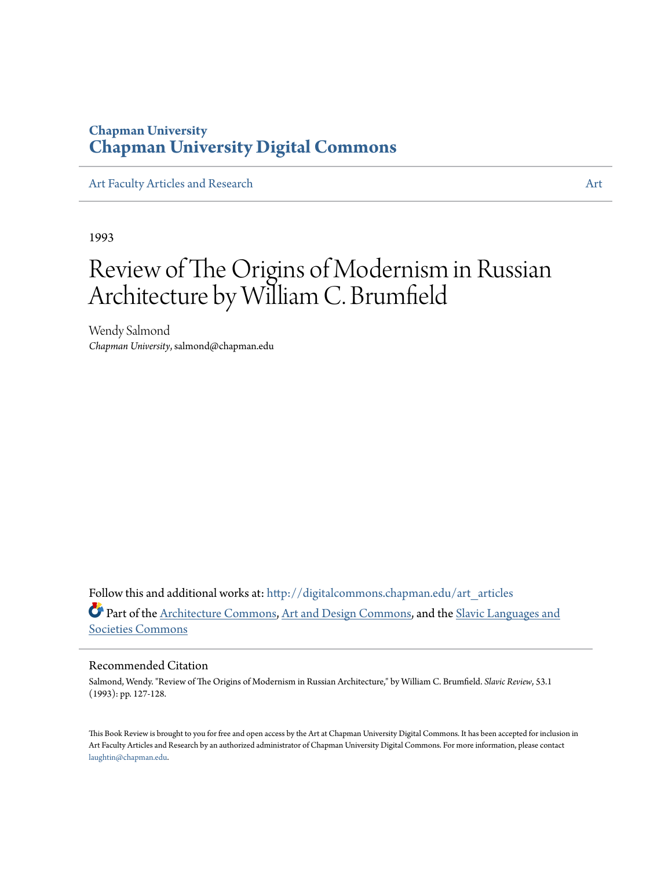### **Chapman University [Chapman University Digital Commons](http://digitalcommons.chapman.edu?utm_source=digitalcommons.chapman.edu%2Fart_articles%2F11&utm_medium=PDF&utm_campaign=PDFCoverPages)**

[Art Faculty Articles and Research](http://digitalcommons.chapman.edu/art_articles?utm_source=digitalcommons.chapman.edu%2Fart_articles%2F11&utm_medium=PDF&utm_campaign=PDFCoverPages) [Art](http://digitalcommons.chapman.edu/art?utm_source=digitalcommons.chapman.edu%2Fart_articles%2F11&utm_medium=PDF&utm_campaign=PDFCoverPages)

1993

# Review of The Origins of Modernism in Russian Architecture by William C. Brumfield

Wendy Salmond *Chapman University*, salmond@chapman.edu

Follow this and additional works at: [http://digitalcommons.chapman.edu/art\\_articles](http://digitalcommons.chapman.edu/art_articles?utm_source=digitalcommons.chapman.edu%2Fart_articles%2F11&utm_medium=PDF&utm_campaign=PDFCoverPages) Part of the [Architecture Commons](http://network.bepress.com/hgg/discipline/773?utm_source=digitalcommons.chapman.edu%2Fart_articles%2F11&utm_medium=PDF&utm_campaign=PDFCoverPages), [Art and Design Commons,](http://network.bepress.com/hgg/discipline/1049?utm_source=digitalcommons.chapman.edu%2Fart_articles%2F11&utm_medium=PDF&utm_campaign=PDFCoverPages) and the [Slavic Languages and](http://network.bepress.com/hgg/discipline/486?utm_source=digitalcommons.chapman.edu%2Fart_articles%2F11&utm_medium=PDF&utm_campaign=PDFCoverPages) [Societies Commons](http://network.bepress.com/hgg/discipline/486?utm_source=digitalcommons.chapman.edu%2Fart_articles%2F11&utm_medium=PDF&utm_campaign=PDFCoverPages)

### Recommended Citation

Salmond, Wendy. "Review of The Origins of Modernism in Russian Architecture," by William C. Brumfield. *Slavic Review*, 53.1 (1993): pp. 127-128.

This Book Review is brought to you for free and open access by the Art at Chapman University Digital Commons. It has been accepted for inclusion in Art Faculty Articles and Research by an authorized administrator of Chapman University Digital Commons. For more information, please contact [laughtin@chapman.edu](mailto:laughtin@chapman.edu).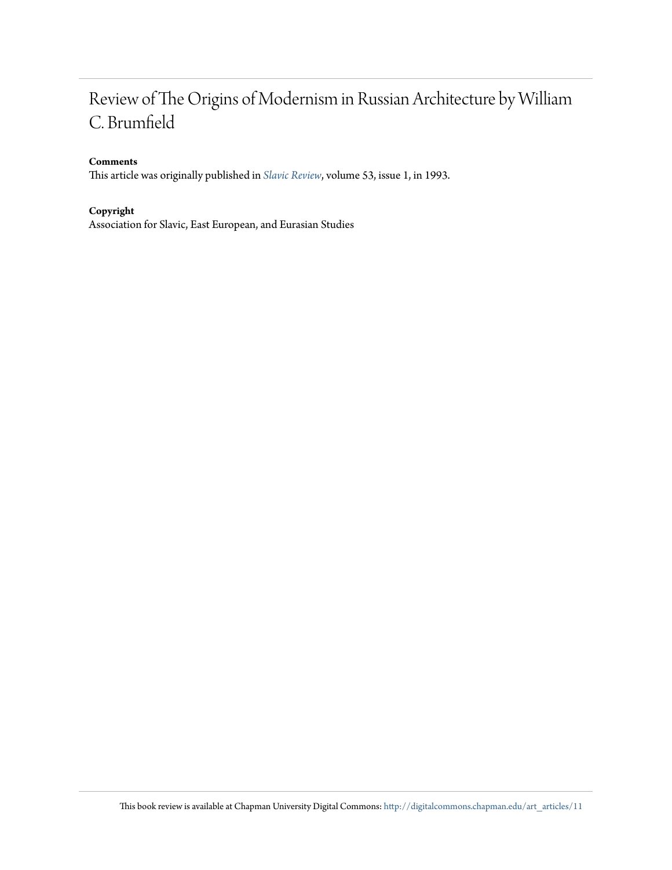## Review of The Origins of Modernism in Russian Architecture by William C. Brumfield

### **Comments**

This article was originally published in *[Slavic Review](http://www.slavicreview.illinois.edu/)*, volume 53, issue 1, in 1993.

### **Copyright**

Association for Slavic, East European, and Eurasian Studies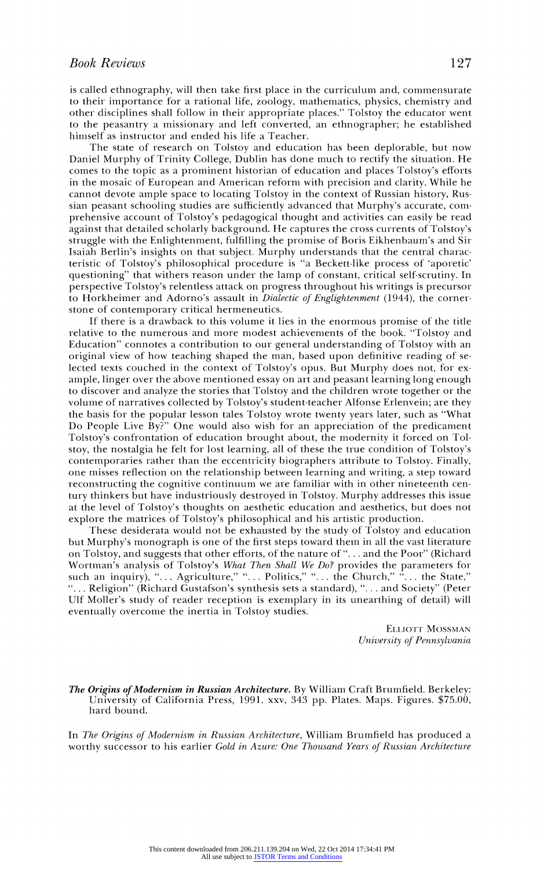#### *The Origins of Modernism in Russian Architecture.* By William Craft Brumfield. Berkeley: University of California Press, 1991. xxv, 343 pp. Plates. Maps. Figures. \$75.00, hard bound.

In The Origins of Modernism in Russian Architecture, William Brumfield has produced a worthy successor to his earlier Gold in Azure: One Thousand Years of Russian Architecture